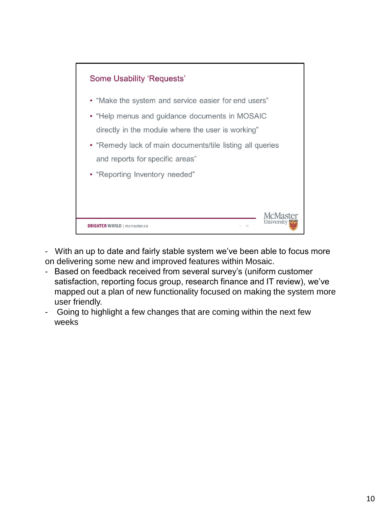

- With an up to date and fairly stable system we've been able to focus more on delivering some new and improved features within Mosaic.

- Based on feedback received from several survey's (uniform customer satisfaction, reporting focus group, research finance and IT review), we've mapped out a plan of new functionality focused on making the system more user friendly.
- Going to highlight a few changes that are coming within the next few weeks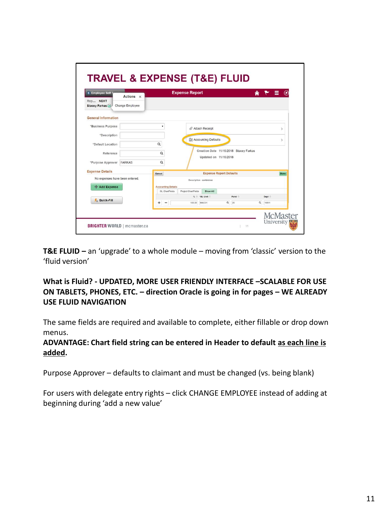| <b>Employee Self !</b><br>Rep NEXT<br>Stacey Farkas | Actions x<br>Change Employee | <b>Expense Report</b>                              |                       |                                           |          | $\land$ $\uparrow$ $\equiv$ $\circ$ |          |               |
|-----------------------------------------------------|------------------------------|----------------------------------------------------|-----------------------|-------------------------------------------|----------|-------------------------------------|----------|---------------|
| <b>General Information</b>                          |                              |                                                    |                       |                                           |          |                                     |          |               |
| "Business Purpose                                   |                              | ٠                                                  |                       | @ Attach Receipt                          |          |                                     |          | $\mathcal{L}$ |
| *Description                                        |                              |                                                    |                       | Accounting Defaults                       |          |                                     |          | $\mathcal{P}$ |
| *Default Location                                   |                              | $\alpha$                                           |                       |                                           |          |                                     |          |               |
| Reference                                           |                              | Q                                                  |                       | Creation Date 11/16/2018 Stacey Farkas    |          |                                     |          |               |
| *Purpose Approver                                   | <b>FARKAS</b>                | Q                                                  | Updated on 11/16/2018 |                                           |          |                                     |          |               |
| <b>Expense Details</b>                              |                              | Cancel                                             |                       | <b>Expense Report Defaults</b>            |          |                                     |          | Done          |
| No expenses have been entered.<br>- Add Expense     |                              | <b>Accounting Details</b><br><b>GL ChartFields</b> | Project ChartFields   | Description conference<br><b>Show All</b> |          |                                     |          |               |
| & Quick-Fill                                        |                              |                                                    |                       | % o "GL Unit o                            |          | Fund <sup>o</sup>                   |          | Dept 0        |
|                                                     |                              | $\overline{\phantom{a}}$                           | 100.00                | MAC01                                     | $\alpha$ | 20                                  | $\alpha$ | 10511         |

**T&E FLUID –** an 'upgrade' to a whole module – moving from 'classic' version to the 'fluid version'

**What is Fluid? - UPDATED, MORE USER FRIENDLY INTERFACE –SCALABLE FOR USE ON TABLETS, PHONES, ETC. – direction Oracle is going in for pages – WE ALREADY USE FLUID NAVIGATION**

The same fields are required and available to complete, either fillable or drop down menus.

**ADVANTAGE: Chart field string can be entered in Header to default as each line is added.** 

Purpose Approver – defaults to claimant and must be changed (vs. being blank)

For users with delegate entry rights – click CHANGE EMPLOYEE instead of adding at beginning during 'add a new value'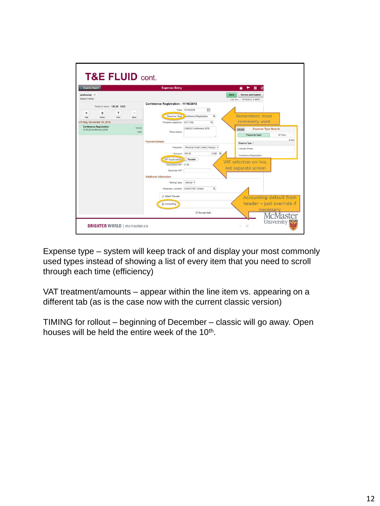

Expense type – system will keep track of and display your most commonly used types instead of showing a list of every item that you need to scroll through each time (efficiency)

VAT treatment/amounts – appear within the line item vs. appearing on a different tab (as is the case now with the current classic version)

TIMING for rollout – beginning of December – classic will go away. Open houses will be held the entire week of the 10<sup>th</sup>.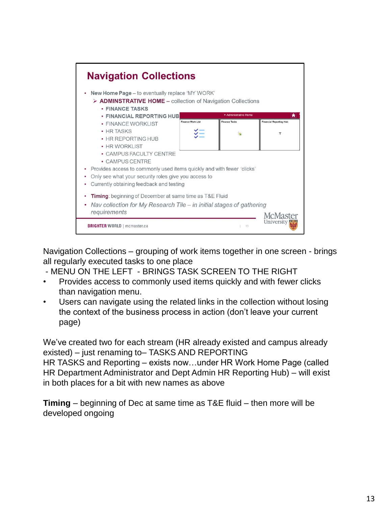

Navigation Collections – grouping of work items together in one screen - brings all regularly executed tasks to one place

- MENU ON THE LEFT - BRINGS TASK SCREEN TO THE RIGHT

- Provides access to commonly used items quickly and with fewer clicks than navigation menu.
- Users can navigate using the related links in the collection without losing the context of the business process in action (don't leave your current page)

We've created two for each stream (HR already existed and campus already existed) – just renaming to– TASKS AND REPORTING HR TASKS and Reporting – exists now…under HR Work Home Page (called HR Department Administrator and Dept Admin HR Reporting Hub) – will exist in both places for a bit with new names as above

**Timing** – beginning of Dec at same time as T&E fluid – then more will be developed ongoing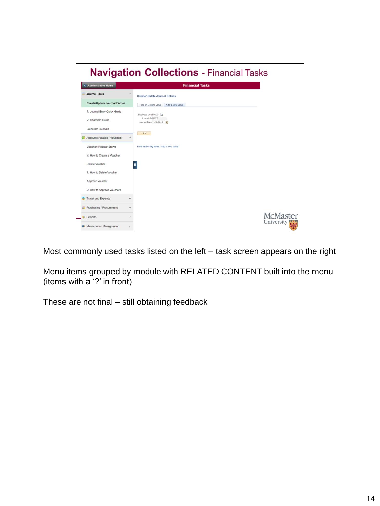| < Administrative Home                | <b>Financial Tasks</b>                     |
|--------------------------------------|--------------------------------------------|
| Journal Tools                        | <b>Create/Update Journal Entries</b>       |
| <b>Create/Update Journal Entries</b> | Eind an Existing Value<br>Add a New Value  |
| ?: Journal Entry Quick Guide         | Business Unit MAC01                        |
| ?: Chartfield Guide                  | Journal ID NEXT<br>Journal Date 11/16/2018 |
| Generate Journals                    |                                            |
| Accounts Payable / Vouchers          | Add<br>G                                   |
| Voucher (Regular Entry)              | Find an Existing Value   Add a New Value   |
| ?: How to Create a Voucher           |                                            |
| Delete Voucher                       | п                                          |
| ?: How to Delete Voucher             |                                            |
| Approve Voucher                      |                                            |
| ?: How to Approve Vouchers           |                                            |
| Travel and Expense                   | $\checkmark$                               |
| Purchasing / Procurement             | $\checkmark$                               |
|                                      | <b>McMaster</b>                            |

Most commonly used tasks listed on the left – task screen appears on the right

Menu items grouped by module with RELATED CONTENT built into the menu (items with a '?' in front)

These are not final – still obtaining feedback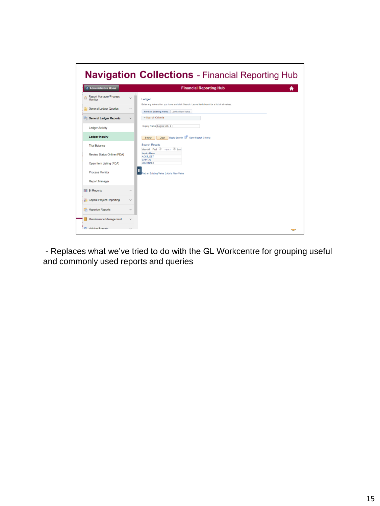

- Replaces what we've tried to do with the GL Workcentre for grouping useful and commonly used reports and queries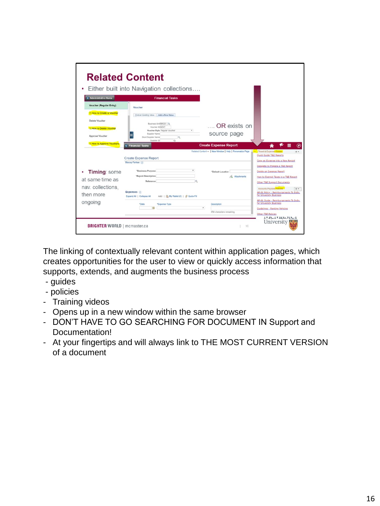| < Administrative Home                             | <b>Financial Tasks</b>                                                                                       |                                                          |                                                                                                             |
|---------------------------------------------------|--------------------------------------------------------------------------------------------------------------|----------------------------------------------------------|-------------------------------------------------------------------------------------------------------------|
| <b>Voucher (Regular Entry)</b>                    | Voucher                                                                                                      |                                                          |                                                                                                             |
| ?: How to Create a Voucher                        | Find an Existing Value Add a New Value                                                                       |                                                          |                                                                                                             |
| Delete Voucher<br>?: How to Delete Voucher        | Business Unit/MAC01 CL<br><b>Voucher ID NEXT</b>                                                             | OR exists on                                             |                                                                                                             |
| Approve Voucher                                   | ٠<br>Voucher Style Regular Voucher<br>Supplier Name<br>Short Supplier Name<br>ka.<br>Supplier ID<br>$\alpha$ | source page                                              |                                                                                                             |
| <b>2: How to Approve Vouchers</b>                 | <b>&lt; Financial Tasks</b>                                                                                  | <b>Create Expense Report</b>                             | ♠                                                                                                           |
|                                                   |                                                                                                              |                                                          | Travel & Expense Guides                                                                                     |
|                                                   | <b>Create Expense Report</b><br><b>Stacey Farkas</b> (2)                                                     | Related Content =   New Window   Help   Personalize Page | <b>Ouick Guide T&amp;E Reports</b><br>Copy an Expense into a New Report<br>Delegate to Prepare a T&E Report |
| <b>Timing:</b> some                               | ٠<br>*Business Purpose                                                                                       | *Default Location                                        | Delete an Expense Report                                                                                    |
|                                                   | *Report Description<br>Reference<br>ö                                                                        | A. Attachments                                           | How to Exempt Taxes in a T&E Report<br>Other T&E Support Documents<br>,,,,,,,,,,                            |
| at same time as<br>nav. collections,<br>then more | Expenses (2)<br>Add:   国, My Wallet (0)   \$ Quick-Fill<br>Expand All   Collapse All                         |                                                          | Accounts Payable Policies<br>0.7<br>AP-01 Policy - Reimbursements To Indiv.<br>for University Business      |

The linking of contextually relevant content within application pages, which creates opportunities for the user to view or quickly access information that supports, extends, and augments the business process

- guides
- policies
- Training videos
- Opens up in a new window within the same browser
- DON'T HAVE TO GO SEARCHING FOR DOCUMENT IN Support and Documentation!
- At your fingertips and will always link to THE MOST CURRENT VERSION of a document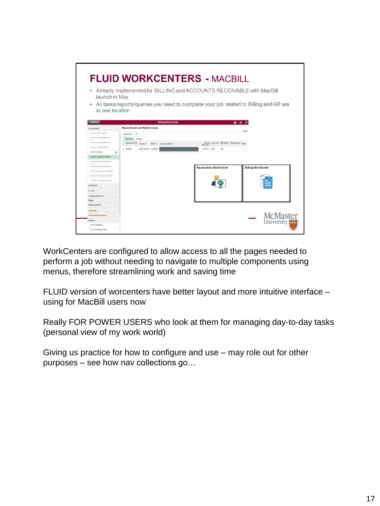| ٠<br>launch in May                                              | <b>FLUID WORKCENTERS - MACBILL</b><br>Already implemented for BILLING and ACCOUNTS RECEIVABLE with MacBill |                                                       |                           |
|-----------------------------------------------------------------|------------------------------------------------------------------------------------------------------------|-------------------------------------------------------|---------------------------|
| ٠<br>in one location                                            | All tasks/reports/queries you need to complete your job related to Billing and AR are                      |                                                       |                           |
| C My Work                                                       | <b>Billing WorkCenter</b>                                                                                  | ۰                                                     | ≔<br>$\odot$              |
| <b>Current Work</b>                                             | <b>Recent Credit and Rebill Invoices</b>                                                                   |                                                       |                           |
| Invoices Not Finalized                                          | Actions<br>$\overline{\tau}$                                                                               |                                                       | 1 rows                    |
| Invoices Not Submitted for                                      | General<br>Details                                                                                         |                                                       |                           |
| Invoices Pending Approval                                       | <b>Business Unit</b><br>Invoice O<br><b>Bill To C Customer Name O</b>                                      | Invoice Currency Bill Status Next Invoice<br>Amount O | More                      |
| Invoices Entered Today                                          | <b>B</b> ARENG<br>ENG-000030 10000522                                                                      | -19.756.71 CAD<br>INV                                 | $\,$                      |
| <b>Recent Invoices</b><br>(19)                                  |                                                                                                            |                                                       |                           |
| Recent Credit and Rebill I<br>$\sqrt{2}$                        |                                                                                                            |                                                       |                           |
| Recurring Invoices Not Gen.                                     |                                                                                                            |                                                       |                           |
| Installment Invoices Not Ge.                                    |                                                                                                            | <b>Receivables WorkCenter</b>                         | <b>Billing WorkCenter</b> |
| Recurring Schedules Expiring                                    |                                                                                                            |                                                       |                           |
| Invoices Not Integrated to AR.<br>Invoices Not Integrated to GL |                                                                                                            |                                                       |                           |
| <b>Exceptions</b>                                               |                                                                                                            |                                                       |                           |
| v Links                                                         |                                                                                                            |                                                       |                           |
| Customer/Sponsor                                                |                                                                                                            |                                                       |                           |
| Billing                                                         |                                                                                                            |                                                       |                           |
| <b>Billing Interface</b>                                        |                                                                                                            |                                                       |                           |
|                                                                 |                                                                                                            |                                                       |                           |
|                                                                 |                                                                                                            |                                                       |                           |
| v Queries<br>- Reports/Processes                                |                                                                                                            |                                                       | <b>McMaster</b>           |

WorkCenters are configured to allow access to all the pages needed to perform a job without needing to navigate to multiple components using menus, therefore streamlining work and saving time

FLUID version of worcenters have better layout and more intuitive interface – using for MacBill users now

Really FOR POWER USERS who look at them for managing day-to-day tasks (personal view of my work world)

Giving us practice for how to configure and use – may role out for other purposes – see how nav collections go…